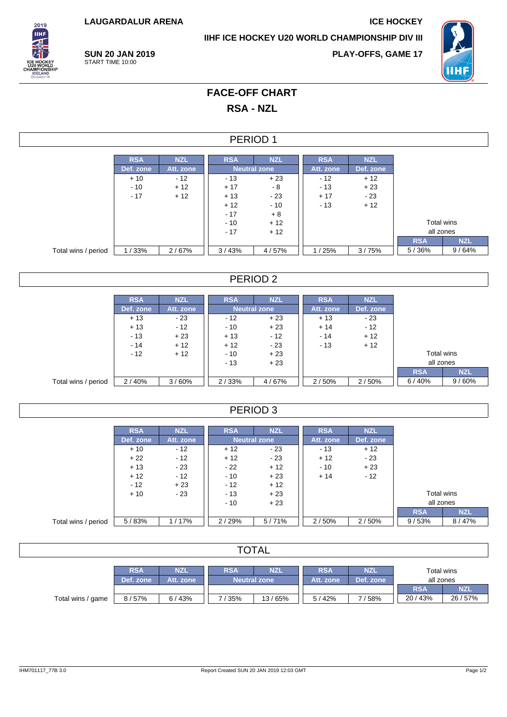**LAUGARDALUR ARENA ICE HOCKEY**

**IIHF ICE HOCKEY U20 WORLD CHAMPIONSHIP DIV III**



**SUN 20 JAN 2019** START TIME 10:00

**PLAY-OFFS, GAME 17**



## **FACE-OFF CHART RSA - NZL**

#### PERIOD 1

|                     | <b>RSA</b> | <b>NZL</b> | <b>RSA</b> | <b>NZL</b>          | <b>RSA</b> | <b>NZL</b> |            |            |
|---------------------|------------|------------|------------|---------------------|------------|------------|------------|------------|
|                     | Def. zone  | Att. zone  |            | <b>Neutral zone</b> | Att. zone  | Def. zone  |            |            |
|                     | $+10$      | $-12$      | $-13$      | $+23$               | $-12$      | $+12$      |            |            |
|                     | $-10$      | $+12$      | $+17$      | - 8                 | - 13       | $+23$      |            |            |
|                     | $-17$      | $+12$      | $+13$      | - 23                | $+17$      | $-23$      |            |            |
|                     |            |            | $+12$      | $-10$               | $-13$      | $+12$      |            |            |
|                     |            |            | $-17$      | $+8$                |            |            |            |            |
|                     |            |            | $-10$      | $+12$               |            |            | Total wins |            |
|                     |            |            | $-17$      | $+12$               |            |            | all zones  |            |
|                     |            |            |            |                     |            |            | <b>RSA</b> | <b>NZL</b> |
| Total wins / period | 1/33%      | 2/67%      | 3/43%      | 4/57%               | /25%       | 3/75%      | 5/36%      | 9/64%      |

## PERIOD 2

|                     | <b>RSA</b> | <b>NZL</b> | <b>RSA</b> | <b>NZL</b>          | <b>RSA</b> | <b>NZL</b> |            |            |
|---------------------|------------|------------|------------|---------------------|------------|------------|------------|------------|
|                     | Def. zone  | Att. zone  |            | <b>Neutral zone</b> | Att. zone  | Def. zone  |            |            |
|                     | $+13$      | $-23$      | $-12$      | $+23$               | $+13$      | $-23$      |            |            |
|                     | $+13$      | $-12$      | $-10$      | $+23$               | $+14$      | $-12$      |            |            |
|                     | $-13$      | $+23$      | $+13$      | $-12$               | $-14$      | $+12$      |            |            |
|                     | $-14$      | $+12$      | $+12$      | $-23$               | $-13$      | $+12$      |            |            |
|                     | $-12$      | $+12$      | $-10$      | $+23$               |            |            | Total wins |            |
|                     |            |            | $-13$      | $+23$               |            |            | all zones  |            |
|                     |            |            |            |                     |            |            | <b>RSA</b> | <b>NZL</b> |
| Total wins / period | 2/40%      | 3/60%      | 2/33%      | 4/67%               | 2/50%      | 2/50%      | 6/40%      | 9/60%      |

#### PERIOD 3

|                     | <b>RSA</b> | <b>NZL</b> | <b>RSA</b> | <b>NZL</b>          | <b>RSA</b> | <b>NZL</b> |            |            |
|---------------------|------------|------------|------------|---------------------|------------|------------|------------|------------|
|                     | Def. zone  | Att. zone  |            | <b>Neutral zone</b> | Att. zone  | Def. zone  |            |            |
|                     | $+10$      | $-12$      | $+12$      | - 23                | $-13$      | $+12$      |            |            |
|                     | $+22$      | $-12$      | $+12$      | $-23$               | $+12$      | $-23$      |            |            |
|                     | $+13$      | - 23       | $-22$      | $+12$               | $-10$      | $+23$      |            |            |
|                     | $+12$      | $-12$      | $-10$      | $+23$               | $+14$      | $-12$      |            |            |
|                     | $-12$      | $+23$      | $-12$      | $+12$               |            |            |            |            |
|                     | $+10$      | $-23$      | $-13$      | $+23$               |            |            |            | Total wins |
|                     |            |            | $-10$      | $+23$               |            |            | all zones  |            |
|                     |            |            |            |                     |            |            | <b>RSA</b> | <b>NZL</b> |
| Total wins / period | 5/83%      | 1/17%      | 2/29%      | 5/71%               | 2/50%      | 2/50%      | 9/53%      | 8/47%      |

## **TOTAL**

|                   | <b>RSA</b> | NZI       | <b>RSA</b><br>NZI   |        | <b>RSA</b> | <b>NZ</b> | Total wins |           |  |  |
|-------------------|------------|-----------|---------------------|--------|------------|-----------|------------|-----------|--|--|
|                   | Def. zone  | Att. zone | <b>Neutral zone</b> |        | Att. zone  | Def. zone | all zones  |           |  |  |
|                   |            |           |                     |        |            |           | <b>RSA</b> | <b>NZ</b> |  |  |
| Total wins / game | 8 / 57%    | 6/43%     | /35%                | 13/65% | 5/42%      | 158%      | 20/43%     | 26/57%    |  |  |